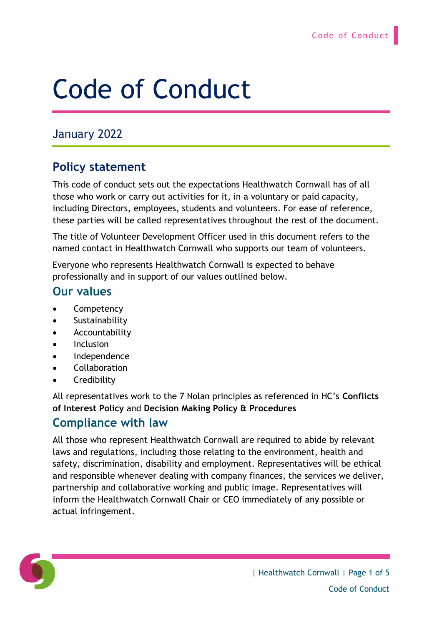# Code of Conduct

# January 2022

# **Policy statement**

This code of conduct sets out the expectations Healthwatch Cornwall has of all those who work or carry out activities for it, in a voluntary or paid capacity, including Directors, employees, students and volunteers. For ease of reference, these parties will be called representatives throughout the rest of the document.

The title of Volunteer Development Officer used in this document refers to the named contact in Healthwatch Cornwall who supports our team of volunteers.

Everyone who represents Healthwatch Cornwall is expected to behave professionally and in support of our values outlined below.

#### **Our values**

- **Competency**
- **Sustainability**
- **Accountability**
- **Inclusion**
- Independence
- Collaboration
- Credibility

All representatives work to the 7 Nolan principles as referenced in HC's **Conflicts of Interest Policy** and **Decision Making Policy & Procedures**

#### **Compliance with law**

All those who represent Healthwatch Cornwall are required to abide by relevant laws and regulations, including those relating to the environment, health and safety, discrimination, disability and employment. Representatives will be ethical and responsible whenever dealing with company finances, the services we deliver, partnership and collaborative working and public image. Representatives will inform the Healthwatch Cornwall Chair or CEO immediately of any possible or actual infringement.

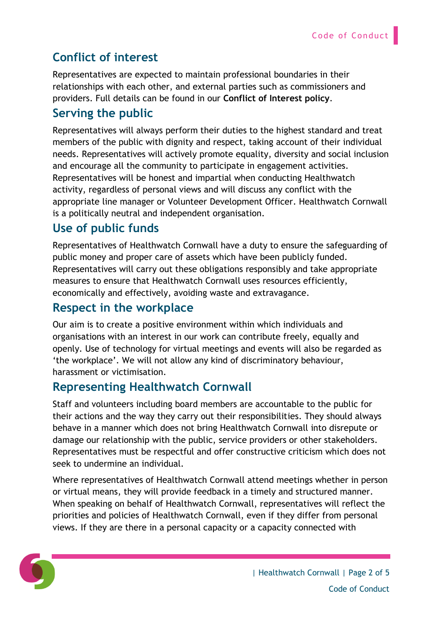# **Conflict of interest**

Representatives are expected to maintain professional boundaries in their relationships with each other, and external parties such as commissioners and providers. Full details can be found in our **Conflict of Interest policy**.

#### **Serving the public**

Representatives will always perform their duties to the highest standard and treat members of the public with dignity and respect, taking account of their individual needs. Representatives will actively promote equality, diversity and social inclusion and encourage all the community to participate in engagement activities. Representatives will be honest and impartial when conducting Healthwatch activity, regardless of personal views and will discuss any conflict with the appropriate line manager or Volunteer Development Officer. Healthwatch Cornwall is a politically neutral and independent organisation.

#### **Use of public funds**

Representatives of Healthwatch Cornwall have a duty to ensure the safeguarding of public money and proper care of assets which have been publicly funded. Representatives will carry out these obligations responsibly and take appropriate measures to ensure that Healthwatch Cornwall uses resources efficiently, economically and effectively, avoiding waste and extravagance.

#### **Respect in the workplace**

Our aim is to create a positive environment within which individuals and organisations with an interest in our work can contribute freely, equally and openly. Use of technology for virtual meetings and events will also be regarded as 'the workplace'. We will not allow any kind of discriminatory behaviour, harassment or victimisation.

# **Representing Healthwatch Cornwall**

Staff and volunteers including board members are accountable to the public for their actions and the way they carry out their responsibilities. They should always behave in a manner which does not bring Healthwatch Cornwall into disrepute or damage our relationship with the public, service providers or other stakeholders. Representatives must be respectful and offer constructive criticism which does not seek to undermine an individual.

Where representatives of Healthwatch Cornwall attend meetings whether in person or virtual means, they will provide feedback in a timely and structured manner. When speaking on behalf of Healthwatch Cornwall, representatives will reflect the priorities and policies of Healthwatch Cornwall, even if they differ from personal views. If they are there in a personal capacity or a capacity connected with

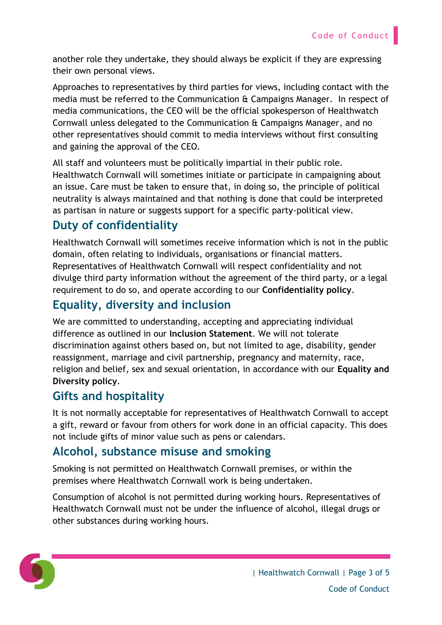another role they undertake, they should always be explicit if they are expressing their own personal views.

Approaches to representatives by third parties for views, including contact with the media must be referred to the Communication & Campaigns Manager. In respect of media communications, the CEO will be the official spokesperson of Healthwatch Cornwall unless delegated to the Communication & Campaigns Manager, and no other representatives should commit to media interviews without first consulting and gaining the approval of the CEO.

All staff and volunteers must be politically impartial in their public role. Healthwatch Cornwall will sometimes initiate or participate in campaigning about an issue. Care must be taken to ensure that, in doing so, the principle of political neutrality is always maintained and that nothing is done that could be interpreted as partisan in nature or suggests support for a specific party-political view.

# **Duty of confidentiality**

Healthwatch Cornwall will sometimes receive information which is not in the public domain, often relating to individuals, organisations or financial matters. Representatives of Healthwatch Cornwall will respect confidentiality and not divulge third party information without the agreement of the third party, or a legal requirement to do so, and operate according to our **Confidentiality policy**.

# **Equality, diversity and inclusion**

We are committed to understanding, accepting and appreciating individual difference as outlined in our **Inclusion Statement**. We will not tolerate discrimination against others based on, but not limited to age, disability, gender reassignment, marriage and civil partnership, pregnancy and maternity, race, religion and belief, sex and sexual orientation, in accordance with our **Equality and Diversity policy**.

# **Gifts and hospitality**

It is not normally acceptable for representatives of Healthwatch Cornwall to accept a gift, reward or favour from others for work done in an official capacity. This does not include gifts of minor value such as pens or calendars.

#### **Alcohol, substance misuse and smoking**

Smoking is not permitted on Healthwatch Cornwall premises, or within the premises where Healthwatch Cornwall work is being undertaken.

Consumption of alcohol is not permitted during working hours. Representatives of Healthwatch Cornwall must not be under the influence of alcohol, illegal drugs or other substances during working hours.

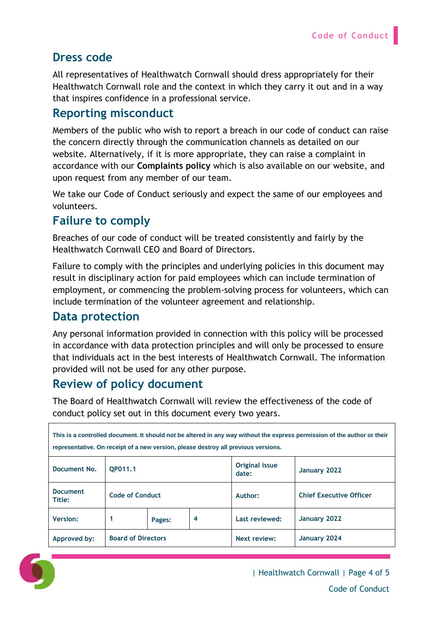### **Dress code**

All representatives of Healthwatch Cornwall should dress appropriately for their Healthwatch Cornwall role and the context in which they carry it out and in a way that inspires confidence in a professional service.

#### **Reporting misconduct**

Members of the public who wish to report a breach in our code of conduct can raise the concern directly through the communication channels as detailed on our website. Alternatively, if it is more appropriate, they can raise a complaint in accordance with our **Complaints policy** which is also available on our website, and upon request from any member of our team.

We take our Code of Conduct seriously and expect the same of our employees and volunteers.

#### **Failure to comply**

Breaches of our code of conduct will be treated consistently and fairly by the Healthwatch Cornwall CEO and Board of Directors.

Failure to comply with the principles and underlying policies in this document may result in disciplinary action for paid employees which can include termination of employment, or commencing the problem-solving process for volunteers, which can include termination of the volunteer agreement and relationship.

#### **Data protection**

Any personal information provided in connection with this policy will be processed in accordance with data protection principles and will only be processed to ensure that individuals act in the best interests of Healthwatch Cornwall. The information provided will not be used for any other purpose.

# **Review of policy document**

The Board of Healthwatch Cornwall will review the effectiveness of the code of conduct policy set out in this document every two years.

| This is a controlled document. It should not be altered in any way without the express permission of the author or their |                           |        |   |                         |                                |
|--------------------------------------------------------------------------------------------------------------------------|---------------------------|--------|---|-------------------------|--------------------------------|
| representative. On receipt of a new version, please destroy all previous versions.                                       |                           |        |   |                         |                                |
| Document No.                                                                                                             | OP011.1                   |        |   | Original issue<br>date: | January 2022                   |
| <b>Document</b><br>Title:                                                                                                | <b>Code of Conduct</b>    |        |   | Author:                 | <b>Chief Executive Officer</b> |
| <b>Version:</b>                                                                                                          |                           | Pages: | 4 | Last reviewed:          | January 2022                   |
| Approved by:                                                                                                             | <b>Board of Directors</b> |        |   | Next review:            | January 2024                   |